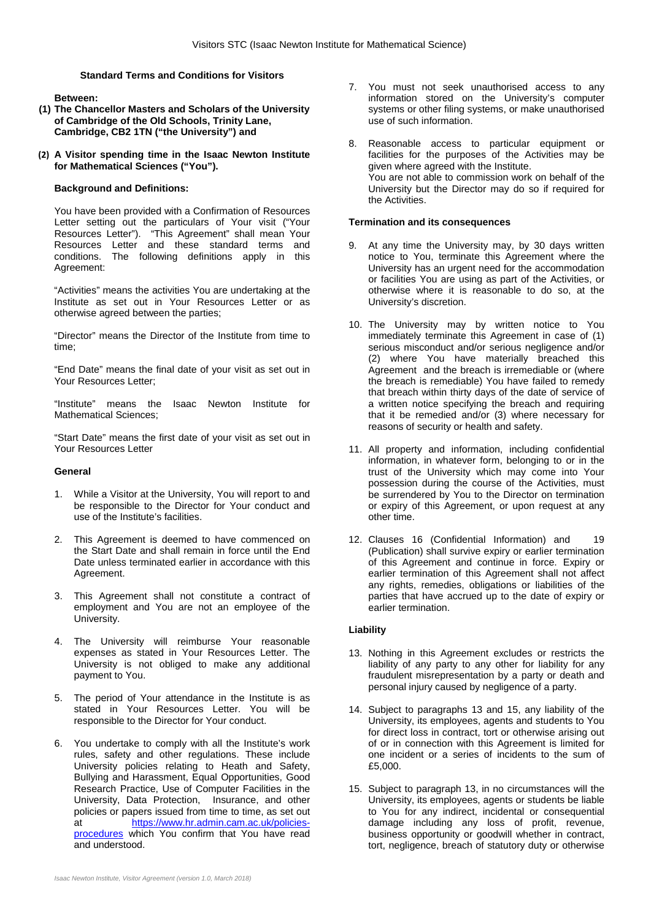# **Standard Terms and Conditions for Visitors**

**Between:**

- **(1) The Chancellor Masters and Scholars of the University of Cambridge of the Old Schools, Trinity Lane, Cambridge, CB2 1TN ("the University") and**
- **(2) A Visitor spending time in the Isaac Newton Institute for Mathematical Sciences ("You").**

## **Background and Definitions:**

You have been provided with a Confirmation of Resources Letter setting out the particulars of Your visit ("Your Resources Letter"). "This Agreement" shall mean Your Resources Letter and these standard terms and conditions. The following definitions apply in this Agreement:

"Activities" means the activities You are undertaking at the Institute as set out in Your Resources Letter or as otherwise agreed between the parties;

"Director" means the Director of the Institute from time to time;

"End Date" means the final date of your visit as set out in Your Resources Letter;

"Institute" means the Isaac Newton Institute for Mathematical Sciences;

"Start Date" means the first date of your visit as set out in Your Resources Letter

#### **General**

- 1. While a Visitor at the University, You will report to and be responsible to the Director for Your conduct and use of the Institute's facilities.
- 2. This Agreement is deemed to have commenced on the Start Date and shall remain in force until the End Date unless terminated earlier in accordance with this Agreement.
- 3. This Agreement shall not constitute a contract of employment and You are not an employee of the University.
- 4. The University will reimburse Your reasonable expenses as stated in Your Resources Letter. The University is not obliged to make any additional payment to You.
- 5. The period of Your attendance in the Institute is as stated in Your Resources Letter. You will be responsible to the Director for Your conduct.
- 6. You undertake to comply with all the Institute's work rules, safety and other regulations. These include University policies relating to Heath and Safety, Bullying and Harassment, Equal Opportunities, Good Research Practice, Use of Computer Facilities in the University, Data Protection, Insurance, and other policies or papers issued from time to time, as set out at [https://www.hr.admin.cam.ac.uk/policies](https://www.hr.admin.cam.ac.uk/policies-procedures)[procedures](https://www.hr.admin.cam.ac.uk/policies-procedures) which You confirm that You have read and understood.
- 7. You must not seek unauthorised access to any information stored on the University's computer systems or other filing systems, or make unauthorised use of such information.
- 8. Reasonable access to particular equipment or facilities for the purposes of the Activities may be given where agreed with the Institute. You are not able to commission work on behalf of the University but the Director may do so if required for the Activities.

#### **Termination and its consequences**

- 9. At any time the University may, by 30 days written notice to You, terminate this Agreement where the University has an urgent need for the accommodation or facilities You are using as part of the Activities, or otherwise where it is reasonable to do so, at the University's discretion.
- 10. The University may by written notice to You immediately terminate this Agreement in case of (1) serious misconduct and/or serious negligence and/or (2) where You have materially breached this Agreement and the breach is irremediable or (where the breach is remediable) You have failed to remedy that breach within thirty days of the date of service of a written notice specifying the breach and requiring that it be remedied and/or (3) where necessary for reasons of security or health and safety.
- 11. All property and information, including confidential information, in whatever form, belonging to or in the trust of the University which may come into Your possession during the course of the Activities, must be surrendered by You to the Director on termination or expiry of this Agreement, or upon request at any other time.
- 12. Clauses 16 (Confidential Information) and 19 (Publication) shall survive expiry or earlier termination of this Agreement and continue in force. Expiry or earlier termination of this Agreement shall not affect any rights, remedies, obligations or liabilities of the parties that have accrued up to the date of expiry or earlier termination.

#### **Liability**

- 13. Nothing in this Agreement excludes or restricts the liability of any party to any other for liability for any fraudulent misrepresentation by a party or death and personal injury caused by negligence of a party.
- 14. Subject to paragraphs 13 and 15, any liability of the University, its employees, agents and students to You for direct loss in contract, tort or otherwise arising out of or in connection with this Agreement is limited for one incident or a series of incidents to the sum of £5,000.
- 15. Subject to paragraph 13, in no circumstances will the University, its employees, agents or students be liable to You for any indirect, incidental or consequential damage including any loss of profit, revenue, business opportunity or goodwill whether in contract, tort, negligence, breach of statutory duty or otherwise